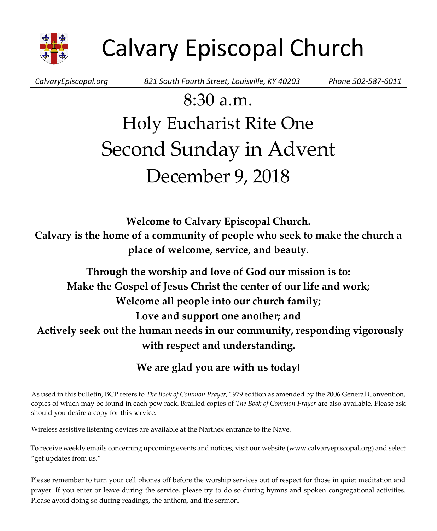

*CalvaryEpiscopal.org 821 South Fourth Street, Louisville, KY 40203 Phone 502-587-6011*

# 8:30 a.m. Holy Eucharist Rite One Second Sunday in Advent December 9, 2018

**Welcome to Calvary Episcopal Church. Calvary is the home of a community of people who seek to make the church a place of welcome, service, and beauty.**

**Through the worship and love of God our mission is to: Make the Gospel of Jesus Christ the center of our life and work; Welcome all people into our church family; Love and support one another; and Actively seek out the human needs in our community, responding vigorously with respect and understanding.**

# **We are glad you are with us today!**

As used in this bulletin, BCP refers to *The Book of Common Prayer*, 1979 edition as amended by the 2006 General Convention, copies of which may be found in each pew rack. Brailled copies of *The Book of Common Prayer* are also available. Please ask should you desire a copy for this service.

Wireless assistive listening devices are available at the Narthex entrance to the Nave.

To receive weekly emails concerning upcoming events and notices, visit our website (www.calvaryepiscopal.org) and select "get updates from us."

Please remember to turn your cell phones off before the worship services out of respect for those in quiet meditation and prayer. If you enter or leave during the service, please try to do so during hymns and spoken congregational activities. Please avoid doing so during readings, the anthem, and the sermon.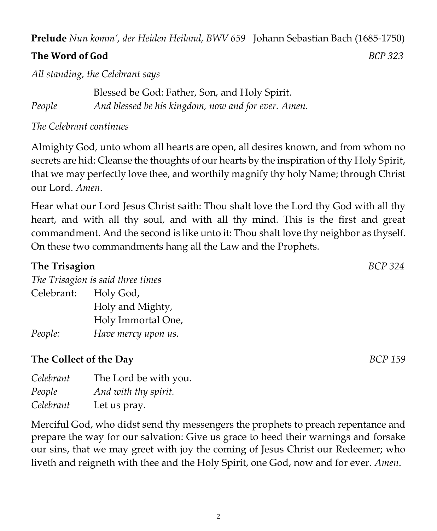**Prelude** *Nun komm', der Heiden Heiland, BWV 659* Johann Sebastian Bach (1685-1750)

# **The Word of God** *BCP 323*

*All standing, the Celebrant says*

Blessed be God: Father, Son, and Holy Spirit. *People And blessed be his kingdom, now and for ever. Amen.*

*The Celebrant continues*

Almighty God, unto whom all hearts are open, all desires known, and from whom no secrets are hid: Cleanse the thoughts of our hearts by the inspiration of thy Holy Spirit, that we may perfectly love thee, and worthily magnify thy holy Name; through Christ our Lord. *Amen*.

Hear what our Lord Jesus Christ saith: Thou shalt love the Lord thy God with all thy heart, and with all thy soul, and with all thy mind. This is the first and great commandment. And the second is like unto it: Thou shalt love thy neighbor as thyself. On these two commandments hang all the Law and the Prophets.

# **The Trisagion** *BCP 324 The Trisagion is said three times* Celebrant: Holy God, Holy and Mighty, Holy Immortal One, *People: Have mercy upon us.*

# **The Collect of the Day** *BCP 159*

| Celebrant | The Lord be with you. |
|-----------|-----------------------|
| People    | And with thy spirit.  |
| Celebrant | Let us pray.          |

Merciful God, who didst send thy messengers the prophets to preach repentance and prepare the way for our salvation: Give us grace to heed their warnings and forsake our sins, that we may greet with joy the coming of Jesus Christ our Redeemer; who liveth and reigneth with thee and the Holy Spirit, one God, now and for ever. *Amen*.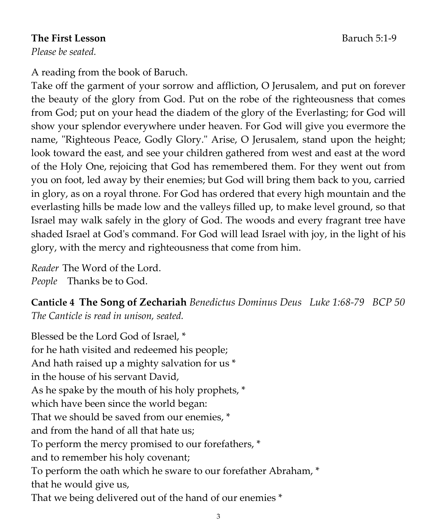#### **The First Lesson**<br> **Baruch 5:1-9**

*Please be seated.*

A reading from the book of Baruch.

Take off the garment of your sorrow and affliction, O Jerusalem, and put on forever the beauty of the glory from God. Put on the robe of the righteousness that comes from God; put on your head the diadem of the glory of the Everlasting; for God will show your splendor everywhere under heaven. For God will give you evermore the name, "Righteous Peace, Godly Glory." Arise, O Jerusalem, stand upon the height; look toward the east, and see your children gathered from west and east at the word of the Holy One, rejoicing that God has remembered them. For they went out from you on foot, led away by their enemies; but God will bring them back to you, carried in glory, as on a royal throne. For God has ordered that every high mountain and the everlasting hills be made low and the valleys filled up, to make level ground, so that Israel may walk safely in the glory of God. The woods and every fragrant tree have shaded Israel at God's command. For God will lead Israel with joy, in the light of his glory, with the mercy and righteousness that come from him.

*Reader* The Word of the Lord. *People* Thanks be to God.

**Canticle 4 The Song of Zechariah** *Benedictus Dominus Deus Luke 1:68-79 BCP 50 The Canticle is read in unison, seated.*

Blessed be the Lord God of Israel, \* for he hath visited and redeemed his people; And hath raised up a mighty salvation for us \* in the house of his servant David, As he spake by the mouth of his holy prophets, \* which have been since the world began: That we should be saved from our enemies, \* and from the hand of all that hate us; To perform the mercy promised to our forefathers, \* and to remember his holy covenant; To perform the oath which he sware to our forefather Abraham, \* that he would give us, That we being delivered out of the hand of our enemies \*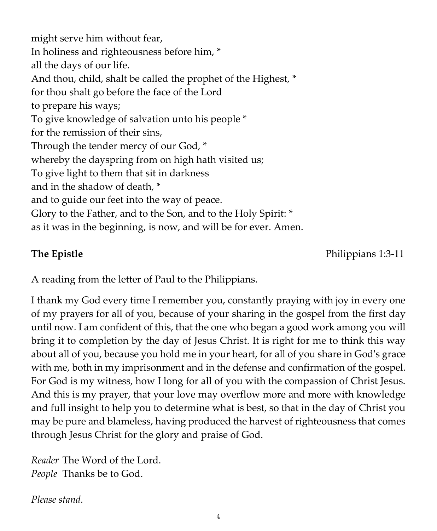might serve him without fear, In holiness and righteousness before him, \* all the days of our life. And thou, child, shalt be called the prophet of the Highest, \* for thou shalt go before the face of the Lord to prepare his ways; To give knowledge of salvation unto his people \* for the remission of their sins, Through the tender mercy of our God, \* whereby the dayspring from on high hath visited us; To give light to them that sit in darkness and in the shadow of death, \* and to guide our feet into the way of peace. Glory to the Father, and to the Son, and to the Holy Spirit: \* as it was in the beginning, is now, and will be for ever. Amen.

**The Epistle Philippians 1:3-11** 

A reading from the letter of Paul to the Philippians.

I thank my God every time I remember you, constantly praying with joy in every one of my prayers for all of you, because of your sharing in the gospel from the first day until now. I am confident of this, that the one who began a good work among you will bring it to completion by the day of Jesus Christ. It is right for me to think this way about all of you, because you hold me in your heart, for all of you share in God's grace with me, both in my imprisonment and in the defense and confirmation of the gospel. For God is my witness, how I long for all of you with the compassion of Christ Jesus. And this is my prayer, that your love may overflow more and more with knowledge and full insight to help you to determine what is best, so that in the day of Christ you may be pure and blameless, having produced the harvest of righteousness that comes through Jesus Christ for the glory and praise of God.

*Reader* The Word of the Lord. *People* Thanks be to God.

*Please stand.*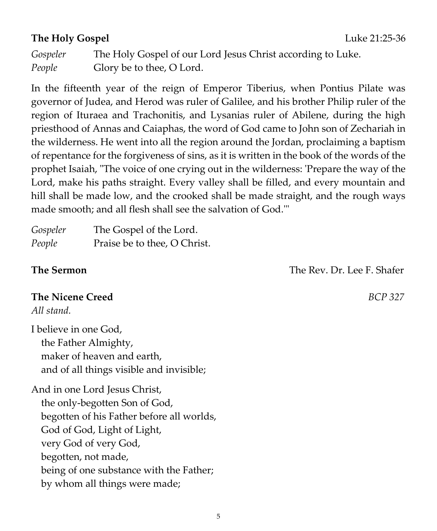# **The Holy Gospel Luke 21:25-36**

In the fifteenth year of the reign of Emperor Tiberius, when Pontius Pilate was governor of Judea, and Herod was ruler of Galilee, and his brother Philip ruler of the region of Ituraea and Trachonitis, and Lysanias ruler of Abilene, during the high priesthood of Annas and Caiaphas, the word of God came to John son of Zechariah in the wilderness. He went into all the region around the Jordan, proclaiming a baptism of repentance for the forgiveness of sins, as it is written in the book of the words of the prophet Isaiah, "The voice of one crying out in the wilderness: 'Prepare the way of the Lord, make his paths straight. Every valley shall be filled, and every mountain and hill shall be made low, and the crooked shall be made straight, and the rough ways made smooth; and all flesh shall see the salvation of God.'"

| Gospeler | The Gospel of the Lord.      |
|----------|------------------------------|
| People   | Praise be to thee, O Christ. |

**The Sermon** The Rev. Dr. Lee F. Shafer

# **The Nicene Creed** *BCP 327*

*All stand.*

I believe in one God, the Father Almighty, maker of heaven and earth, and of all things visible and invisible;

And in one Lord Jesus Christ, the only-begotten Son of God, begotten of his Father before all worlds, God of God, Light of Light, very God of very God, begotten, not made, being of one substance with the Father; by whom all things were made;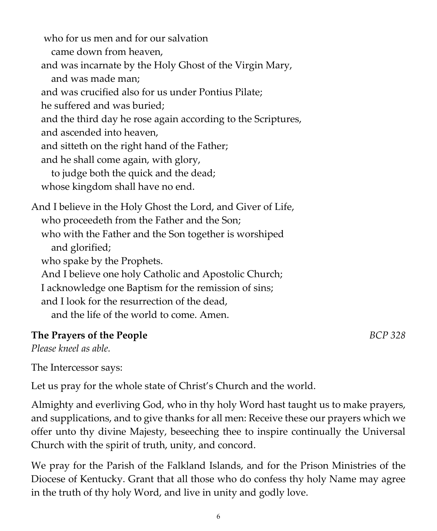who for us men and for our salvation came down from heaven, and was incarnate by the Holy Ghost of the Virgin Mary, and was made man; and was crucified also for us under Pontius Pilate; he suffered and was buried; and the third day he rose again according to the Scriptures, and ascended into heaven, and sitteth on the right hand of the Father; and he shall come again, with glory, to judge both the quick and the dead; whose kingdom shall have no end. And I believe in the Holy Ghost the Lord, and Giver of Life, who proceedeth from the Father and the Son; who with the Father and the Son together is worshiped and glorified; who spake by the Prophets. And I believe one holy Catholic and Apostolic Church; I acknowledge one Baptism for the remission of sins; and I look for the resurrection of the dead, and the life of the world to come. Amen. **The Prayers of the People** *BCP 328*

#### *Please kneel as able.*

The Intercessor says:

Let us pray for the whole state of Christ's Church and the world.

Almighty and everliving God, who in thy holy Word hast taught us to make prayers, and supplications, and to give thanks for all men: Receive these our prayers which we offer unto thy divine Majesty, beseeching thee to inspire continually the Universal Church with the spirit of truth, unity, and concord.

We pray for the Parish of the Falkland Islands, and for the Prison Ministries of the Diocese of Kentucky. Grant that all those who do confess thy holy Name may agree in the truth of thy holy Word, and live in unity and godly love.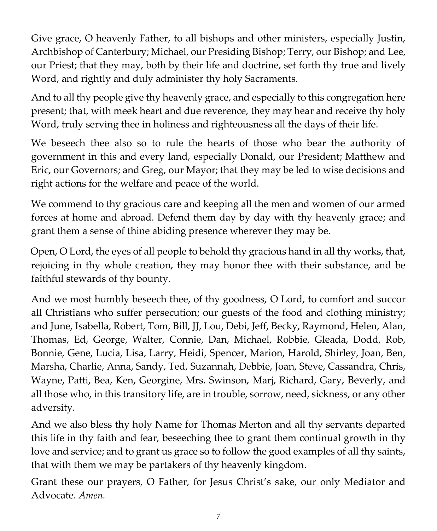Give grace, O heavenly Father, to all bishops and other ministers, especially Justin, Archbishop of Canterbury; Michael, our Presiding Bishop; Terry, our Bishop; and Lee, our Priest; that they may, both by their life and doctrine, set forth thy true and lively Word, and rightly and duly administer thy holy Sacraments.

And to all thy people give thy heavenly grace, and especially to this congregation here present; that, with meek heart and due reverence, they may hear and receive thy holy Word, truly serving thee in holiness and righteousness all the days of their life.

We beseech thee also so to rule the hearts of those who bear the authority of government in this and every land, especially Donald, our President; Matthew and Eric, our Governors; and Greg, our Mayor; that they may be led to wise decisions and right actions for the welfare and peace of the world.

We commend to thy gracious care and keeping all the men and women of our armed forces at home and abroad. Defend them day by day with thy heavenly grace; and grant them a sense of thine abiding presence wherever they may be.

Open, O Lord, the eyes of all people to behold thy gracious hand in all thy works, that, rejoicing in thy whole creation, they may honor thee with their substance, and be faithful stewards of thy bounty.

And we most humbly beseech thee, of thy goodness, O Lord, to comfort and succor all Christians who suffer persecution; our guests of the food and clothing ministry; and June, Isabella, Robert, Tom, Bill, JJ, Lou, Debi, Jeff, Becky, Raymond, Helen, Alan, Thomas, Ed, George, Walter, Connie, Dan, Michael, Robbie, Gleada, Dodd, Rob, Bonnie, Gene, Lucia, Lisa, Larry, Heidi, Spencer, Marion, Harold, Shirley, Joan, Ben, Marsha, Charlie, Anna, Sandy, Ted, Suzannah, Debbie, Joan, Steve, Cassandra, Chris, Wayne, Patti, Bea, Ken, Georgine, Mrs. Swinson, Marj, Richard, Gary, Beverly, and all those who, in this transitory life, are in trouble, sorrow, need, sickness, or any other adversity.

And we also bless thy holy Name for Thomas Merton and all thy servants departed this life in thy faith and fear, beseeching thee to grant them continual growth in thy love and service; and to grant us grace so to follow the good examples of all thy saints, that with them we may be partakers of thy heavenly kingdom.

Grant these our prayers, O Father, for Jesus Christ's sake, our only Mediator and Advocate. *Amen.*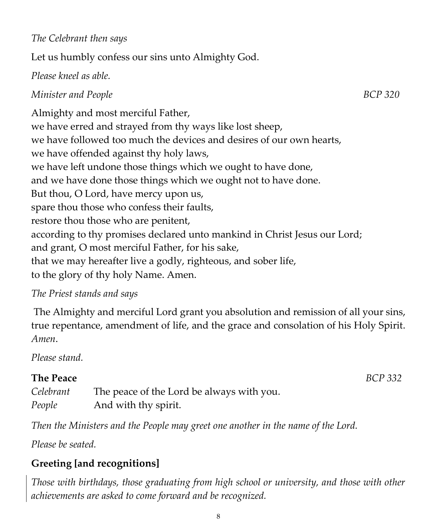#### *The Celebrant then says*

Let us humbly confess our sins unto Almighty God.

#### *Please kneel as able.*

### *Minister and People* BCP 320

Almighty and most merciful Father, we have erred and strayed from thy ways like lost sheep, we have followed too much the devices and desires of our own hearts, we have offended against thy holy laws, we have left undone those things which we ought to have done, and we have done those things which we ought not to have done. But thou, O Lord, have mercy upon us, spare thou those who confess their faults, restore thou those who are penitent, according to thy promises declared unto mankind in Christ Jesus our Lord; and grant, O most merciful Father, for his sake, that we may hereafter live a godly, righteous, and sober life, to the glory of thy holy Name. Amen.

#### *The Priest stands and says*

The Almighty and merciful Lord grant you absolution and remission of all your sins, true repentance, amendment of life, and the grace and consolation of his Holy Spirit. *Amen*.

*Please stand.*

# **The Peace** *BCP 332*

*Celebrant* The peace of the Lord be always with you. *People* And with thy spirit.

*Then the Ministers and the People may greet one another in the name of the Lord.*

*Please be seated.*

# **Greeting [and recognitions]**

*Those with birthdays, those graduating from high school or university, and those with other achievements are asked to come forward and be recognized.*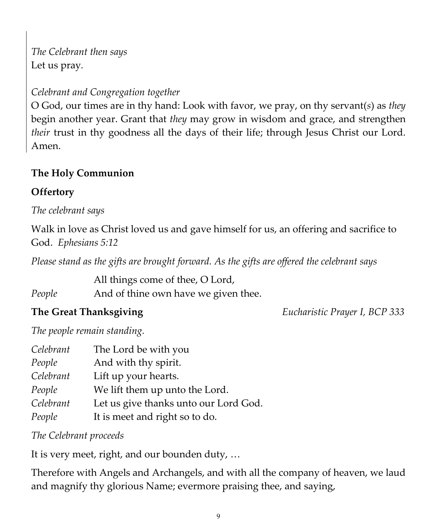*The Celebrant then says* Let us pray*.*

# *Celebrant and Congregation together*

O God, our times are in thy hand: Look with favor, we pray, on thy servant(*s*) as *they* begin another year. Grant that *they* may grow in wisdom and grace, and strengthen *their* trust in thy goodness all the days of their life; through Jesus Christ our Lord. Amen.

# **The Holy Communion**

### **Offertory**

*The celebrant says*

Walk in love as Christ loved us and gave himself for us, an offering and sacrifice to God. *Ephesians 5:12*

*Please stand as the gifts are brought forward. As the gifts are offered the celebrant says*

All things come of thee, O Lord,

*People* And of thine own have we given thee.

**The Great Thanksgiving** *Eucharistic Prayer I, BCP 333*

*The people remain standing.*

| Celebrant | The Lord be with you                  |
|-----------|---------------------------------------|
| People    | And with thy spirit.                  |
| Celebrant | Lift up your hearts.                  |
| People    | We lift them up unto the Lord.        |
| Celebrant | Let us give thanks unto our Lord God. |
| People    | It is meet and right so to do.        |

*The Celebrant proceeds*

It is very meet, right, and our bounden duty, …

Therefore with Angels and Archangels, and with all the company of heaven, we laud and magnify thy glorious Name; evermore praising thee, and saying,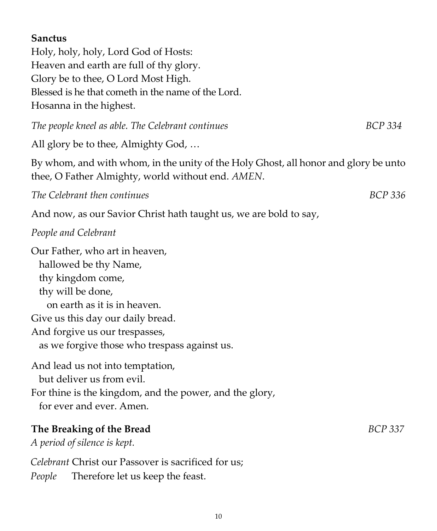#### **Sanctus**

Holy, holy, holy, Lord God of Hosts: Heaven and earth are full of thy glory. Glory be to thee, O Lord Most High. Blessed is he that cometh in the name of the Lord. Hosanna in the highest.

*The people kneel as able. The Celebrant continues* BCP 334

All glory be to thee, Almighty God, …

By whom, and with whom, in the unity of the Holy Ghost, all honor and glory be unto thee, O Father Almighty, world without end. *AMEN*.

*The Celebrant then continues BCP 336*

And now, as our Savior Christ hath taught us, we are bold to say,

#### *People and Celebrant*

Our Father, who art in heaven, hallowed be thy Name, thy kingdom come, thy will be done, on earth as it is in heaven. Give us this day our daily bread. And forgive us our trespasses, as we forgive those who trespass against us.

And lead us not into temptation, but deliver us from evil. For thine is the kingdom, and the power, and the glory, for ever and ever. Amen.

#### **The Breaking of the Bread** *BCP 337*

*A period of silence is kept.* 

*Celebrant* Christ our Passover is sacrificed for us; *People* Therefore let us keep the feast.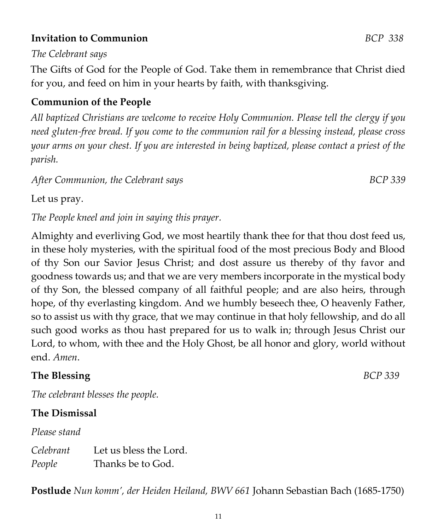#### **Invitation to Communion** *BCP 338*

#### *The Celebrant says*

The Gifts of God for the People of God. Take them in remembrance that Christ died for you, and feed on him in your hearts by faith, with thanksgiving.

#### **Communion of the People**

*All baptized Christians are welcome to receive Holy Communion. Please tell the clergy if you need gluten-free bread. If you come to the communion rail for a blessing instead, please cross your arms on your chest. If you are interested in being baptized, please contact a priest of the parish.* 

*After Communion, the Celebrant says BCP 339*

Let us pray.

*The People kneel and join in saying this prayer.*

Almighty and everliving God, we most heartily thank thee for that thou dost feed us, in these holy mysteries, with the spiritual food of the most precious Body and Blood of thy Son our Savior Jesus Christ; and dost assure us thereby of thy favor and goodness towards us; and that we are very members incorporate in the mystical body of thy Son, the blessed company of all faithful people; and are also heirs, through hope, of thy everlasting kingdom. And we humbly beseech thee, O heavenly Father, so to assist us with thy grace, that we may continue in that holy fellowship, and do all such good works as thou hast prepared for us to walk in; through Jesus Christ our Lord, to whom, with thee and the Holy Ghost, be all honor and glory, world without end. *Amen*.

# **The Blessing** *BCP 339*

*The celebrant blesses the people.*

#### **The Dismissal**

*Please stand*

*Celebrant* Let us bless the Lord. *People* Thanks be to God.

**Postlude** *Nun komm', der Heiden Heiland, BWV 661* Johann Sebastian Bach (1685-1750)